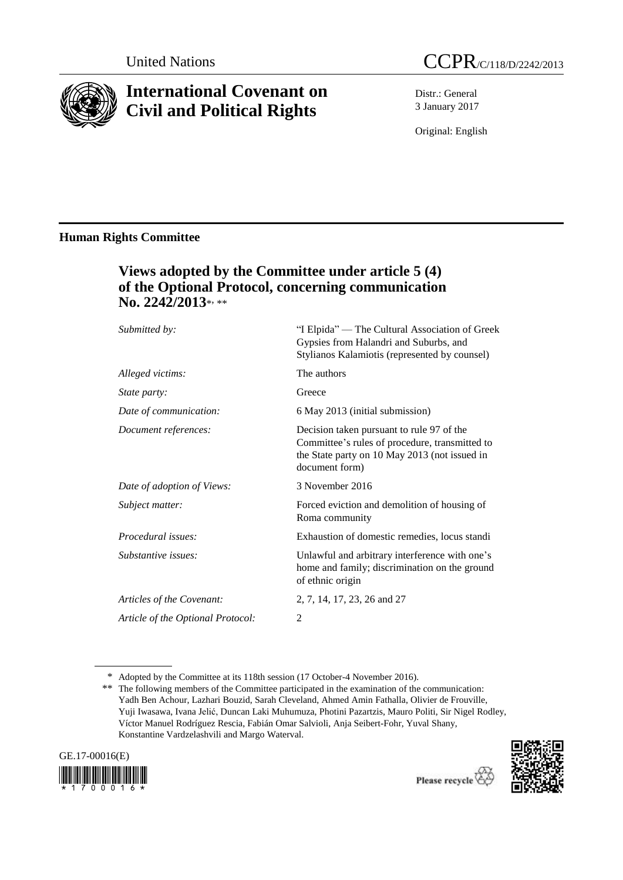

# **International Covenant on Civil and Political Rights**

Distr.: General 3 January 2017

Original: English

## **Human Rights Committee**

## **Views adopted by the Committee under article 5 (4) of the Optional Protocol, concerning communication No. 2242/2013**\* , \*\*

| Submitted by:                     | "I Elpida" — The Cultural Association of Greek<br>Gypsies from Halandri and Suburbs, and<br>Stylianos Kalamiotis (represented by counsel)                      |
|-----------------------------------|----------------------------------------------------------------------------------------------------------------------------------------------------------------|
| Alleged victims:                  | The authors                                                                                                                                                    |
| <i>State party:</i>               | Greece                                                                                                                                                         |
| Date of communication:            | 6 May 2013 (initial submission)                                                                                                                                |
| Document references:              | Decision taken pursuant to rule 97 of the<br>Committee's rules of procedure, transmitted to<br>the State party on 10 May 2013 (not issued in<br>document form) |
| Date of adoption of Views:        | 3 November 2016                                                                                                                                                |
| Subject matter:                   | Forced eviction and demolition of housing of<br>Roma community                                                                                                 |
| Procedural issues:                | Exhaustion of domestic remedies, locus standi                                                                                                                  |
| Substantive issues:               | Unlawful and arbitrary interference with one's<br>home and family; discrimination on the ground<br>of ethnic origin                                            |
| Articles of the Covenant:         | 2, 7, 14, 17, 23, 26 and 27                                                                                                                                    |
| Article of the Optional Protocol: | 2                                                                                                                                                              |

<sup>\*\*</sup> The following members of the Committee participated in the examination of the communication: Yadh Ben Achour, Lazhari Bouzid, Sarah Cleveland, Ahmed Amin Fathalla, Olivier de Frouville, Yuji Iwasawa, Ivana Jelić, Duncan Laki Muhumuza, Photini Pazartzis, Mauro Politi, Sir Nigel Rodley, Víctor Manuel Rodríguez Rescia, Fabián Omar Salvioli, Anja Seibert-Fohr, Yuval Shany, Konstantine Vardzelashvili and Margo Waterval.







<sup>\*</sup> Adopted by the Committee at its 118th session (17 October-4 November 2016).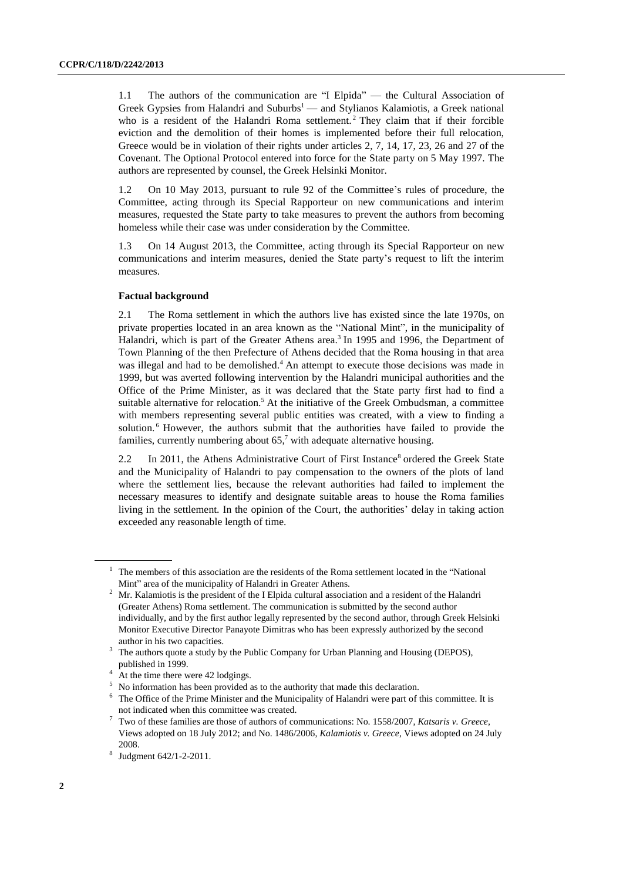1.1 The authors of the communication are "I Elpida" — the Cultural Association of Greek Gypsies from Halandri and Suburbs<sup>1</sup> — and Stylianos Kalamiotis, a Greek national who is a resident of the Halandri Roma settlement.<sup>2</sup> They claim that if their forcible eviction and the demolition of their homes is implemented before their full relocation, Greece would be in violation of their rights under articles 2, 7, 14, 17, 23, 26 and 27 of the Covenant. The Optional Protocol entered into force for the State party on 5 May 1997. The authors are represented by counsel, the Greek Helsinki Monitor.

1.2 On 10 May 2013, pursuant to rule 92 of the Committee's rules of procedure, the Committee, acting through its Special Rapporteur on new communications and interim measures, requested the State party to take measures to prevent the authors from becoming homeless while their case was under consideration by the Committee.

1.3 On 14 August 2013, the Committee, acting through its Special Rapporteur on new communications and interim measures, denied the State party's request to lift the interim measures.

#### **Factual background**

2.1 The Roma settlement in which the authors live has existed since the late 1970s, on private properties located in an area known as the "National Mint", in the municipality of Halandri, which is part of the Greater Athens area.<sup>3</sup> In 1995 and 1996, the Department of Town Planning of the then Prefecture of Athens decided that the Roma housing in that area was illegal and had to be demolished.<sup>4</sup> An attempt to execute those decisions was made in 1999, but was averted following intervention by the Halandri municipal authorities and the Office of the Prime Minister, as it was declared that the State party first had to find a suitable alternative for relocation.<sup>5</sup> At the initiative of the Greek Ombudsman, a committee with members representing several public entities was created, with a view to finding a solution.<sup>6</sup> However, the authors submit that the authorities have failed to provide the families, currently numbering about  $65<sup>7</sup>$  with adequate alternative housing.

2.2 In 2011, the Athens Administrative Court of First Instance<sup>8</sup> ordered the Greek State and the Municipality of Halandri to pay compensation to the owners of the plots of land where the settlement lies, because the relevant authorities had failed to implement the necessary measures to identify and designate suitable areas to house the Roma families living in the settlement. In the opinion of the Court, the authorities' delay in taking action exceeded any reasonable length of time.

 $<sup>1</sup>$  The members of this association are the residents of the Roma settlement located in the "National"</sup> Mint" area of the municipality of Halandri in Greater Athens.

<sup>&</sup>lt;sup>2</sup> Mr. Kalamiotis is the president of the I Elpida cultural association and a resident of the Halandri (Greater Athens) Roma settlement. The communication is submitted by the second author individually, and by the first author legally represented by the second author, through Greek Helsinki Monitor Executive Director Panayote Dimitras who has been expressly authorized by the second author in his two capacities.

<sup>&</sup>lt;sup>3</sup> The authors quote a study by the Public Company for Urban Planning and Housing (DEPOS), published in 1999.

 $4 \text{ At the time there were } 42 \text{ lodging.}$ 

<sup>&</sup>lt;sup>5</sup> No information has been provided as to the authority that made this declaration.

<sup>&</sup>lt;sup>6</sup> The Office of the Prime Minister and the Municipality of Halandri were part of this committee. It is not indicated when this committee was created.

<sup>7</sup> Two of these families are those of authors of communications: No. 1558/2007, *Katsaris v. Greece*, Views adopted on 18 July 2012; and No. 1486/2006, *Kalamiotis v. Greece*, Views adopted on 24 July 2008.

<sup>8</sup> Judgment 642/1-2-2011.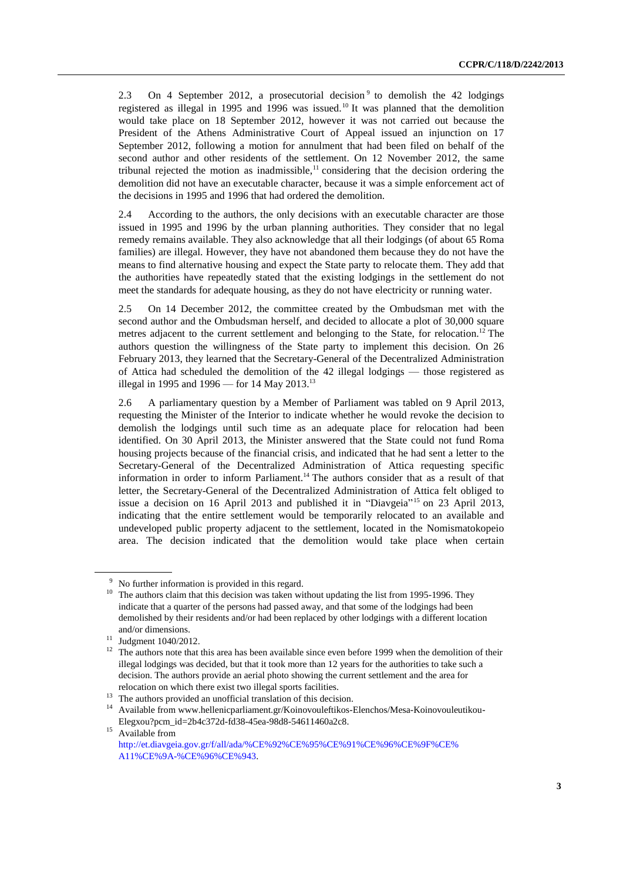2.3 On 4 September 2012, a prosecutorial decision  $9$  to demolish the 42 lodgings registered as illegal in 1995 and 1996 was issued.<sup>10</sup> It was planned that the demolition would take place on 18 September 2012, however it was not carried out because the President of the Athens Administrative Court of Appeal issued an injunction on 17 September 2012, following a motion for annulment that had been filed on behalf of the second author and other residents of the settlement. On 12 November 2012, the same tribunal rejected the motion as inadmissible, $<sup>11</sup>$  considering that the decision ordering the</sup> demolition did not have an executable character, because it was a simple enforcement act of the decisions in 1995 and 1996 that had ordered the demolition.

2.4 According to the authors, the only decisions with an executable character are those issued in 1995 and 1996 by the urban planning authorities. They consider that no legal remedy remains available. They also acknowledge that all their lodgings (of about 65 Roma families) are illegal. However, they have not abandoned them because they do not have the means to find alternative housing and expect the State party to relocate them. They add that the authorities have repeatedly stated that the existing lodgings in the settlement do not meet the standards for adequate housing, as they do not have electricity or running water.

2.5 On 14 December 2012, the committee created by the Ombudsman met with the second author and the Ombudsman herself, and decided to allocate a plot of 30,000 square metres adjacent to the current settlement and belonging to the State, for relocation.<sup>12</sup> The authors question the willingness of the State party to implement this decision. On 26 February 2013, they learned that the Secretary-General of the Decentralized Administration of Attica had scheduled the demolition of the 42 illegal lodgings — those registered as illegal in 1995 and 1996 — for 14 May 2013.<sup>13</sup>

2.6 A parliamentary question by a Member of Parliament was tabled on 9 April 2013, requesting the Minister of the Interior to indicate whether he would revoke the decision to demolish the lodgings until such time as an adequate place for relocation had been identified. On 30 April 2013, the Minister answered that the State could not fund Roma housing projects because of the financial crisis, and indicated that he had sent a letter to the Secretary-General of the Decentralized Administration of Attica requesting specific information in order to inform Parliament.<sup>14</sup> The authors consider that as a result of that letter, the Secretary-General of the Decentralized Administration of Attica felt obliged to issue a decision on 16 April 2013 and published it in "Diavgeia" <sup>15</sup> on 23 April 2013, indicating that the entire settlement would be temporarily relocated to an available and undeveloped public property adjacent to the settlement, located in the Nomismatokopeio area. The decision indicated that the demolition would take place when certain

<sup>&</sup>lt;sup>9</sup> No further information is provided in this regard.

 $10$  The authors claim that this decision was taken without updating the list from 1995-1996. They indicate that a quarter of the persons had passed away, and that some of the lodgings had been demolished by their residents and/or had been replaced by other lodgings with a different location and/or dimensions.

<sup>11</sup> Judgment 1040/2012.

 $12$  The authors note that this area has been available since even before 1999 when the demolition of their illegal lodgings was decided, but that it took more than 12 years for the authorities to take such a decision. The authors provide an aerial photo showing the current settlement and the area for relocation on which there exist two illegal sports facilities.

<sup>&</sup>lt;sup>13</sup> The authors provided an unofficial translation of this decision.

<sup>14</sup> Available from [www.hellenicparliament.gr/Koinovouleftikos-Elenchos/Mesa-Koinovouleutikou-](file:///C:/Users/ONU/AppData/Local/Temp/notes17D641/www.hellenicparliament.gr/Koinovouleftikos-Elenchos/Mesa-Koinovouleutikou-Elegxou%3fpcm_id=2b4c372d-fd38-45ea-98d8-54611460a2c8)[Elegxou?pcm\\_id=2b4c372d-fd38-45ea-98d8-54611460a2c8.](file:///C:/Users/ONU/AppData/Local/Temp/notes17D641/www.hellenicparliament.gr/Koinovouleftikos-Elenchos/Mesa-Koinovouleutikou-Elegxou%3fpcm_id=2b4c372d-fd38-45ea-98d8-54611460a2c8)

 $^{15}$  Available from [http://et.diavgeia.gov.gr/f/all/ada/%CE%92%CE%95%CE%91%CE%96%CE%9F%CE%](http://et.diavgeia.gov.gr/f/all/ada/%CE%92%CE%95%CE%91%CE%96%CE%9F%CE%A11%CE%9A-%CE%96%CE%943) [A11%CE%9A-%CE%96%CE%943.](http://et.diavgeia.gov.gr/f/all/ada/%CE%92%CE%95%CE%91%CE%96%CE%9F%CE%A11%CE%9A-%CE%96%CE%943)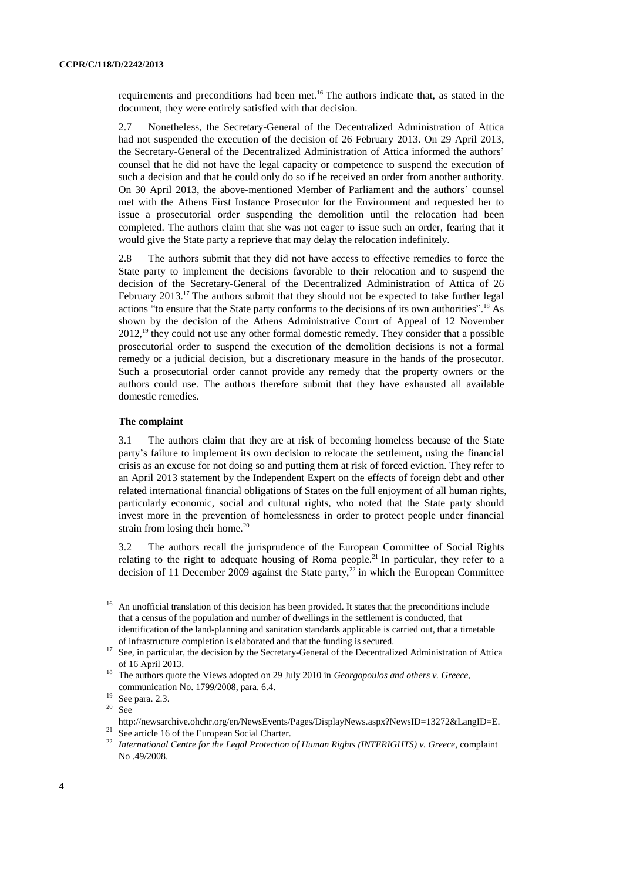requirements and preconditions had been met.<sup>16</sup> The authors indicate that, as stated in the document, they were entirely satisfied with that decision.

2.7 Nonetheless, the Secretary-General of the Decentralized Administration of Attica had not suspended the execution of the decision of 26 February 2013. On 29 April 2013, the Secretary-General of the Decentralized Administration of Attica informed the authors' counsel that he did not have the legal capacity or competence to suspend the execution of such a decision and that he could only do so if he received an order from another authority. On 30 April 2013, the above-mentioned Member of Parliament and the authors' counsel met with the Athens First Instance Prosecutor for the Environment and requested her to issue a prosecutorial order suspending the demolition until the relocation had been completed. The authors claim that she was not eager to issue such an order, fearing that it would give the State party a reprieve that may delay the relocation indefinitely.

2.8 The authors submit that they did not have access to effective remedies to force the State party to implement the decisions favorable to their relocation and to suspend the decision of the Secretary-General of the Decentralized Administration of Attica of 26 February  $2013$ .<sup>17</sup> The authors submit that they should not be expected to take further legal actions "to ensure that the State party conforms to the decisions of its own authorities".<sup>18</sup> As shown by the decision of the Athens Administrative Court of Appeal of 12 November  $2012<sup>19</sup>$ , they could not use any other formal domestic remedy. They consider that a possible prosecutorial order to suspend the execution of the demolition decisions is not a formal remedy or a judicial decision, but a discretionary measure in the hands of the prosecutor. Such a prosecutorial order cannot provide any remedy that the property owners or the authors could use. The authors therefore submit that they have exhausted all available domestic remedies.

## **The complaint**

3.1 The authors claim that they are at risk of becoming homeless because of the State party's failure to implement its own decision to relocate the settlement, using the financial crisis as an excuse for not doing so and putting them at risk of forced eviction. They refer to an April 2013 statement by the Independent Expert on the effects of foreign debt and other related international financial obligations of States on the full enjoyment of all human rights, particularly economic, social and cultural rights, who noted that the State party should invest more in the prevention of homelessness in order to protect people under financial strain from losing their home. $20$ 

3.2 The authors recall the jurisprudence of the European Committee of Social Rights relating to the right to adequate housing of Roma people.<sup>21</sup> In particular, they refer to a decision of 11 December 2009 against the State party,<sup>22</sup> in which the European Committee

<sup>&</sup>lt;sup>16</sup> An unofficial translation of this decision has been provided. It states that the preconditions include that a census of the population and number of dwellings in the settlement is conducted, that identification of the land-planning and sanitation standards applicable is carried out, that a timetable of infrastructure completion is elaborated and that the funding is secured.

<sup>&</sup>lt;sup>17</sup> See, in particular, the decision by the Secretary-General of the Decentralized Administration of Attica of 16 April 2013.

<sup>18</sup> The authors quote the Views adopted on 29 July 2010 in *Georgopoulos and others v. Greece*, communication No. 1799/2008, para. 6.4.

 $^{19}$  See para. 2.3.<br><sup>20</sup> See

See

[http://newsarchive.ohchr.org/en/NewsEvents/Pages/DisplayNews.aspx?NewsID=13272&LangID=E.](file:///C:/Users/ONU/AppData/Local/Temp/notes17D641/See%20http:/newsarchive.ohchr.org/en/NewsEvents/Pages/DisplayNews.aspx%3fNewsID=13272&LangID=E) <sup>21</sup> See article 16 of the European Social Charter.

<sup>22</sup> *International Centre for the Legal Protection of Human Rights (INTERIGHTS) v. Greece*, complaint No .49/2008.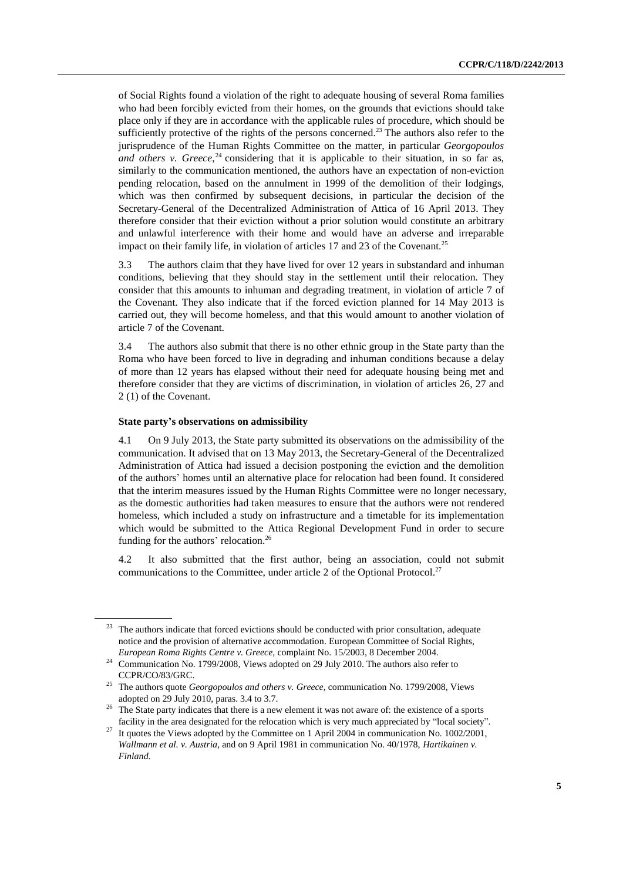of Social Rights found a violation of the right to adequate housing of several Roma families who had been forcibly evicted from their homes, on the grounds that evictions should take place only if they are in accordance with the applicable rules of procedure, which should be sufficiently protective of the rights of the persons concerned.<sup>23</sup> The authors also refer to the jurisprudence of the Human Rights Committee on the matter, in particular *Georgopoulos and others v. Greece*, <sup>24</sup> considering that it is applicable to their situation, in so far as, similarly to the communication mentioned, the authors have an expectation of non-eviction pending relocation, based on the annulment in 1999 of the demolition of their lodgings, which was then confirmed by subsequent decisions, in particular the decision of the Secretary-General of the Decentralized Administration of Attica of 16 April 2013. They therefore consider that their eviction without a prior solution would constitute an arbitrary and unlawful interference with their home and would have an adverse and irreparable impact on their family life, in violation of articles 17 and 23 of the Covenant.<sup>25</sup>

3.3 The authors claim that they have lived for over 12 years in substandard and inhuman conditions, believing that they should stay in the settlement until their relocation. They consider that this amounts to inhuman and degrading treatment, in violation of article 7 of the Covenant. They also indicate that if the forced eviction planned for 14 May 2013 is carried out, they will become homeless, and that this would amount to another violation of article 7 of the Covenant.

3.4 The authors also submit that there is no other ethnic group in the State party than the Roma who have been forced to live in degrading and inhuman conditions because a delay of more than 12 years has elapsed without their need for adequate housing being met and therefore consider that they are victims of discrimination, in violation of articles 26, 27 and 2 (1) of the Covenant.

### **State party's observations on admissibility**

4.1 On 9 July 2013, the State party submitted its observations on the admissibility of the communication. It advised that on 13 May 2013, the Secretary-General of the Decentralized Administration of Attica had issued a decision postponing the eviction and the demolition of the authors' homes until an alternative place for relocation had been found. It considered that the interim measures issued by the Human Rights Committee were no longer necessary, as the domestic authorities had taken measures to ensure that the authors were not rendered homeless, which included a study on infrastructure and a timetable for its implementation which would be submitted to the Attica Regional Development Fund in order to secure funding for the authors' relocation.<sup>26</sup>

4.2 It also submitted that the first author, being an association, could not submit communications to the Committee, under article 2 of the Optional Protocol.<sup>27</sup>

The authors indicate that forced evictions should be conducted with prior consultation, adequate notice and the provision of alternative accommodation. European Committee of Social Rights, *European Roma Rights Centre v. Greece*, complaint No. 15/2003, 8 December 2004.

<sup>&</sup>lt;sup>24</sup> Communication No. 1799/2008, Views adopted on 29 July 2010. The authors also refer to CCPR/CO/83/GRC.

<sup>25</sup> The authors quote *Georgopoulos and others v. Greece*, communication No. 1799/2008, Views adopted on 29 July 2010, paras. 3.4 to 3.7.

<sup>26</sup> The State party indicates that there is a new element it was not aware of: the existence of a sports facility in the area designated for the relocation which is very much appreciated by "local society".

<sup>27</sup> It quotes the Views adopted by the Committee on 1 April 2004 in communication No. 1002/2001, *Wallmann et al. v. Austria*, and on 9 April 1981 in communication No. 40/1978, *Hartikainen v. Finland*.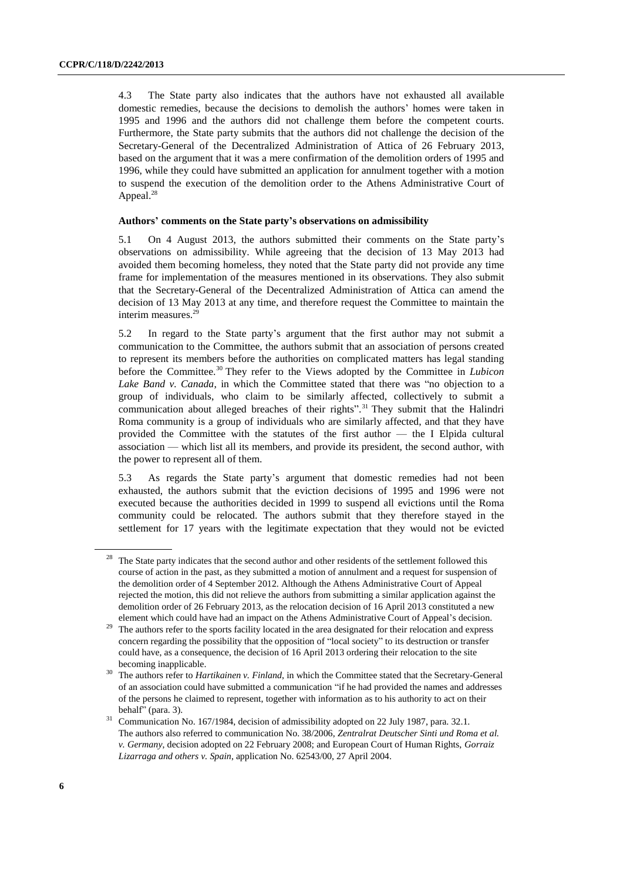4.3 The State party also indicates that the authors have not exhausted all available domestic remedies, because the decisions to demolish the authors' homes were taken in 1995 and 1996 and the authors did not challenge them before the competent courts. Furthermore, the State party submits that the authors did not challenge the decision of the Secretary-General of the Decentralized Administration of Attica of 26 February 2013, based on the argument that it was a mere confirmation of the demolition orders of 1995 and 1996, while they could have submitted an application for annulment together with a motion to suspend the execution of the demolition order to the Athens Administrative Court of Appeal.<sup>28</sup>

### **Authors' comments on the State party's observations on admissibility**

5.1 On 4 August 2013, the authors submitted their comments on the State party's observations on admissibility. While agreeing that the decision of 13 May 2013 had avoided them becoming homeless, they noted that the State party did not provide any time frame for implementation of the measures mentioned in its observations. They also submit that the Secretary-General of the Decentralized Administration of Attica can amend the decision of 13 May 2013 at any time, and therefore request the Committee to maintain the interim measures.<sup>29</sup>

5.2 In regard to the State party's argument that the first author may not submit a communication to the Committee, the authors submit that an association of persons created to represent its members before the authorities on complicated matters has legal standing before the Committee.<sup>30</sup> They refer to the Views adopted by the Committee in *Lubicon Lake Band v. Canada*, in which the Committee stated that there was "no objection to a group of individuals, who claim to be similarly affected, collectively to submit a communication about alleged breaches of their rights".<sup>31</sup> They submit that the Halindri Roma community is a group of individuals who are similarly affected, and that they have provided the Committee with the statutes of the first author — the I Elpida cultural association — which list all its members, and provide its president, the second author, with the power to represent all of them.

5.3 As regards the State party's argument that domestic remedies had not been exhausted, the authors submit that the eviction decisions of 1995 and 1996 were not executed because the authorities decided in 1999 to suspend all evictions until the Roma community could be relocated. The authors submit that they therefore stayed in the settlement for 17 years with the legitimate expectation that they would not be evicted

<sup>&</sup>lt;sup>28</sup> The State party indicates that the second author and other residents of the settlement followed this course of action in the past, as they submitted a motion of annulment and a request for suspension of the demolition order of 4 September 2012. Although the Athens Administrative Court of Appeal rejected the motion, this did not relieve the authors from submitting a similar application against the demolition order of 26 February 2013, as the relocation decision of 16 April 2013 constituted a new element which could have had an impact on the Athens Administrative Court of Appeal's decision.

<sup>&</sup>lt;sup>29</sup> The authors refer to the sports facility located in the area designated for their relocation and express concern regarding the possibility that the opposition of "local society" to its destruction or transfer could have, as a consequence, the decision of 16 April 2013 ordering their relocation to the site becoming inapplicable.

<sup>30</sup> The authors refer to *Hartikainen v. Finland*, in which the Committee stated that the Secretary-General of an association could have submitted a communication "if he had provided the names and addresses of the persons he claimed to represent, together with information as to his authority to act on their behalf" (para. 3).

<sup>&</sup>lt;sup>31</sup> Communication No. 167/1984, decision of admissibility adopted on 22 July 1987, para. 32.1. The authors also referred to communication No. 38/2006, *Zentralrat Deutscher Sinti und Roma et al. v. Germany*, decision adopted on 22 February 2008; and European Court of Human Rights, *Gorraiz Lizarraga and others v. Spain*, application No. 62543/00, 27 April 2004.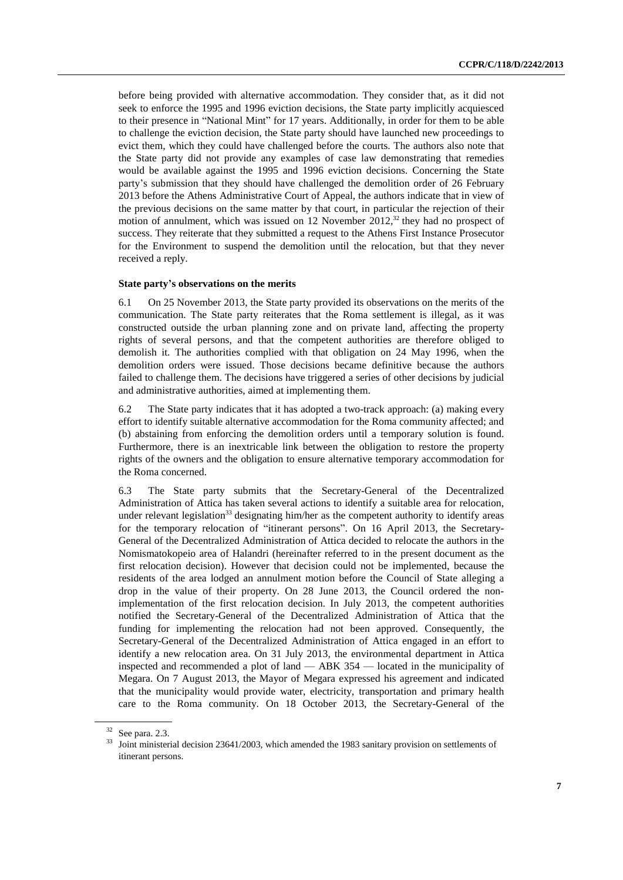before being provided with alternative accommodation. They consider that, as it did not seek to enforce the 1995 and 1996 eviction decisions, the State party implicitly acquiesced to their presence in "National Mint" for 17 years. Additionally, in order for them to be able to challenge the eviction decision, the State party should have launched new proceedings to evict them, which they could have challenged before the courts. The authors also note that the State party did not provide any examples of case law demonstrating that remedies would be available against the 1995 and 1996 eviction decisions. Concerning the State party's submission that they should have challenged the demolition order of 26 February 2013 before the Athens Administrative Court of Appeal, the authors indicate that in view of the previous decisions on the same matter by that court, in particular the rejection of their motion of annulment, which was issued on 12 November  $2012<sup>32</sup>$ , they had no prospect of success. They reiterate that they submitted a request to the Athens First Instance Prosecutor for the Environment to suspend the demolition until the relocation, but that they never received a reply.

### **State party's observations on the merits**

6.1 On 25 November 2013, the State party provided its observations on the merits of the communication. The State party reiterates that the Roma settlement is illegal, as it was constructed outside the urban planning zone and on private land, affecting the property rights of several persons, and that the competent authorities are therefore obliged to demolish it. The authorities complied with that obligation on 24 May 1996, when the demolition orders were issued. Those decisions became definitive because the authors failed to challenge them. The decisions have triggered a series of other decisions by judicial and administrative authorities, aimed at implementing them.

6.2 The State party indicates that it has adopted a two-track approach: (a) making every effort to identify suitable alternative accommodation for the Roma community affected; and (b) abstaining from enforcing the demolition orders until a temporary solution is found. Furthermore, there is an inextricable link between the obligation to restore the property rights of the owners and the obligation to ensure alternative temporary accommodation for the Roma concerned.

6.3 The State party submits that the Secretary-General of the Decentralized Administration of Attica has taken several actions to identify a suitable area for relocation, under relevant legislation<sup>33</sup> designating him/her as the competent authority to identify areas for the temporary relocation of "itinerant persons". On 16 April 2013, the Secretary-General of the Decentralized Administration of Attica decided to relocate the authors in the Nomismatokopeio area of Halandri (hereinafter referred to in the present document as the first relocation decision). However that decision could not be implemented, because the residents of the area lodged an annulment motion before the Council of State alleging a drop in the value of their property. On 28 June 2013, the Council ordered the nonimplementation of the first relocation decision. In July 2013, the competent authorities notified the Secretary-General of the Decentralized Administration of Attica that the funding for implementing the relocation had not been approved. Consequently, the Secretary-General of the Decentralized Administration of Attica engaged in an effort to identify a new relocation area. On 31 July 2013, the environmental department in Attica inspected and recommended a plot of land — ABK 354 — located in the municipality of Megara. On 7 August 2013, the Mayor of Megara expressed his agreement and indicated that the municipality would provide water, electricity, transportation and primary health care to the Roma community. On 18 October 2013, the Secretary-General of the

<sup>32</sup> See para. 2.3.

<sup>&</sup>lt;sup>33</sup> Joint ministerial decision 23641/2003, which amended the 1983 sanitary provision on settlements of itinerant persons.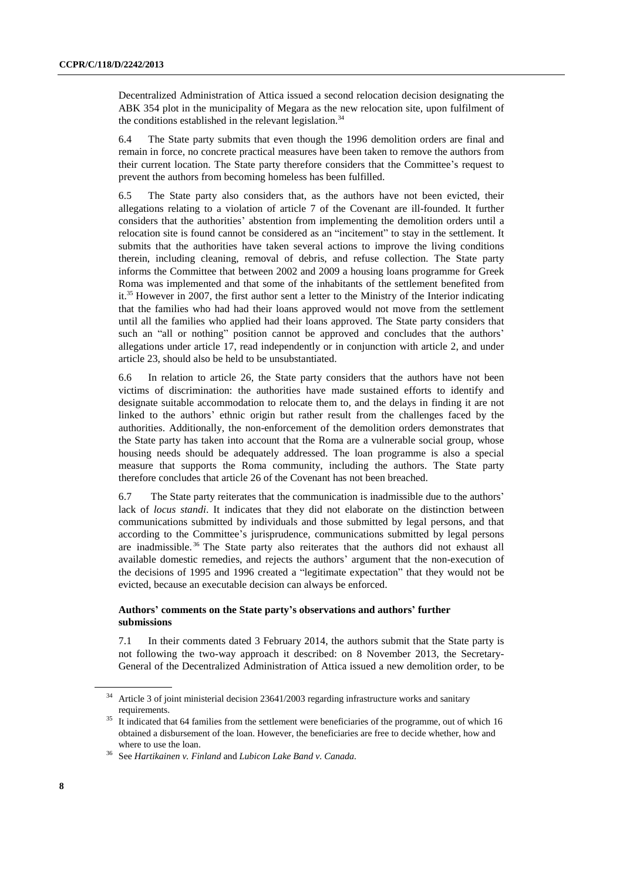Decentralized Administration of Attica issued a second relocation decision designating the ABK 354 plot in the municipality of Megara as the new relocation site, upon fulfilment of the conditions established in the relevant legislation.<sup>34</sup>

6.4 The State party submits that even though the 1996 demolition orders are final and remain in force, no concrete practical measures have been taken to remove the authors from their current location. The State party therefore considers that the Committee's request to prevent the authors from becoming homeless has been fulfilled.

6.5 The State party also considers that, as the authors have not been evicted, their allegations relating to a violation of article 7 of the Covenant are ill-founded. It further considers that the authorities' abstention from implementing the demolition orders until a relocation site is found cannot be considered as an "incitement" to stay in the settlement. It submits that the authorities have taken several actions to improve the living conditions therein, including cleaning, removal of debris, and refuse collection. The State party informs the Committee that between 2002 and 2009 a housing loans programme for Greek Roma was implemented and that some of the inhabitants of the settlement benefited from it.<sup>35</sup> However in 2007, the first author sent a letter to the Ministry of the Interior indicating that the families who had had their loans approved would not move from the settlement until all the families who applied had their loans approved. The State party considers that such an "all or nothing" position cannot be approved and concludes that the authors' allegations under article 17, read independently or in conjunction with article 2, and under article 23, should also be held to be unsubstantiated.

6.6 In relation to article 26, the State party considers that the authors have not been victims of discrimination: the authorities have made sustained efforts to identify and designate suitable accommodation to relocate them to, and the delays in finding it are not linked to the authors' ethnic origin but rather result from the challenges faced by the authorities. Additionally, the non-enforcement of the demolition orders demonstrates that the State party has taken into account that the Roma are a vulnerable social group, whose housing needs should be adequately addressed. The loan programme is also a special measure that supports the Roma community, including the authors. The State party therefore concludes that article 26 of the Covenant has not been breached.

6.7 The State party reiterates that the communication is inadmissible due to the authors' lack of *locus standi*. It indicates that they did not elaborate on the distinction between communications submitted by individuals and those submitted by legal persons, and that according to the Committee's jurisprudence, communications submitted by legal persons are inadmissible.<sup>36</sup> The State party also reiterates that the authors did not exhaust all available domestic remedies, and rejects the authors' argument that the non-execution of the decisions of 1995 and 1996 created a "legitimate expectation" that they would not be evicted, because an executable decision can always be enforced.

## **Authors' comments on the State party's observations and authors' further submissions**

7.1 In their comments dated 3 February 2014, the authors submit that the State party is not following the two-way approach it described: on 8 November 2013, the Secretary-General of the Decentralized Administration of Attica issued a new demolition order, to be

Article 3 of joint ministerial decision 23641/2003 regarding infrastructure works and sanitary requirements.

It indicated that 64 families from the settlement were beneficiaries of the programme, out of which 16 obtained a disbursement of the loan. However, the beneficiaries are free to decide whether, how and where to use the loan.

<sup>36</sup> See *Hartikainen v. Finland* and *Lubicon Lake Band v. Canada.*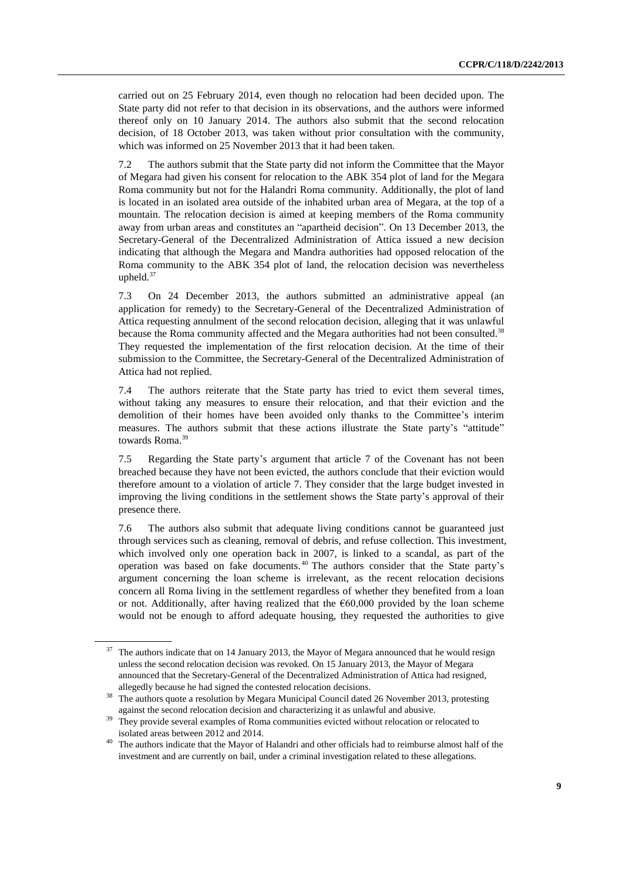carried out on 25 February 2014, even though no relocation had been decided upon. The State party did not refer to that decision in its observations, and the authors were informed thereof only on 10 January 2014. The authors also submit that the second relocation decision, of 18 October 2013, was taken without prior consultation with the community, which was informed on 25 November 2013 that it had been taken.

7.2 The authors submit that the State party did not inform the Committee that the Mayor of Megara had given his consent for relocation to the ABK 354 plot of land for the Megara Roma community but not for the Halandri Roma community. Additionally, the plot of land is located in an isolated area outside of the inhabited urban area of Megara, at the top of a mountain. The relocation decision is aimed at keeping members of the Roma community away from urban areas and constitutes an "apartheid decision". On 13 December 2013, the Secretary-General of the Decentralized Administration of Attica issued a new decision indicating that although the Megara and Mandra authorities had opposed relocation of the Roma community to the ABK 354 plot of land, the relocation decision was nevertheless upheld.<sup>37</sup>

7.3 On 24 December 2013, the authors submitted an administrative appeal (an application for remedy) to the Secretary-General of the Decentralized Administration of Attica requesting annulment of the second relocation decision, alleging that it was unlawful because the Roma community affected and the Megara authorities had not been consulted.<sup>38</sup> They requested the implementation of the first relocation decision. At the time of their submission to the Committee, the Secretary-General of the Decentralized Administration of Attica had not replied.

7.4 The authors reiterate that the State party has tried to evict them several times, without taking any measures to ensure their relocation, and that their eviction and the demolition of their homes have been avoided only thanks to the Committee's interim measures. The authors submit that these actions illustrate the State party's "attitude" towards Roma.<sup>39</sup>

7.5 Regarding the State party's argument that article 7 of the Covenant has not been breached because they have not been evicted, the authors conclude that their eviction would therefore amount to a violation of article 7. They consider that the large budget invested in improving the living conditions in the settlement shows the State party's approval of their presence there.

7.6 The authors also submit that adequate living conditions cannot be guaranteed just through services such as cleaning, removal of debris, and refuse collection. This investment, which involved only one operation back in 2007, is linked to a scandal, as part of the operation was based on fake documents. <sup>40</sup> The authors consider that the State party's argument concerning the loan scheme is irrelevant, as the recent relocation decisions concern all Roma living in the settlement regardless of whether they benefited from a loan or not. Additionally, after having realized that the  $\epsilon$ 60,000 provided by the loan scheme would not be enough to afford adequate housing, they requested the authorities to give

<sup>&</sup>lt;sup>37</sup> The authors indicate that on 14 January 2013, the Mayor of Megara announced that he would resign unless the second relocation decision was revoked. On 15 January 2013, the Mayor of Megara announced that the Secretary-General of the Decentralized Administration of Attica had resigned, allegedly because he had signed the contested relocation decisions.

<sup>38</sup> The authors quote a resolution by Megara Municipal Council dated 26 November 2013, protesting against the second relocation decision and characterizing it as unlawful and abusive.

They provide several examples of Roma communities evicted without relocation or relocated to isolated areas between 2012 and 2014.

<sup>&</sup>lt;sup>40</sup> The authors indicate that the Mayor of Halandri and other officials had to reimburse almost half of the investment and are currently on bail, under a criminal investigation related to these allegations.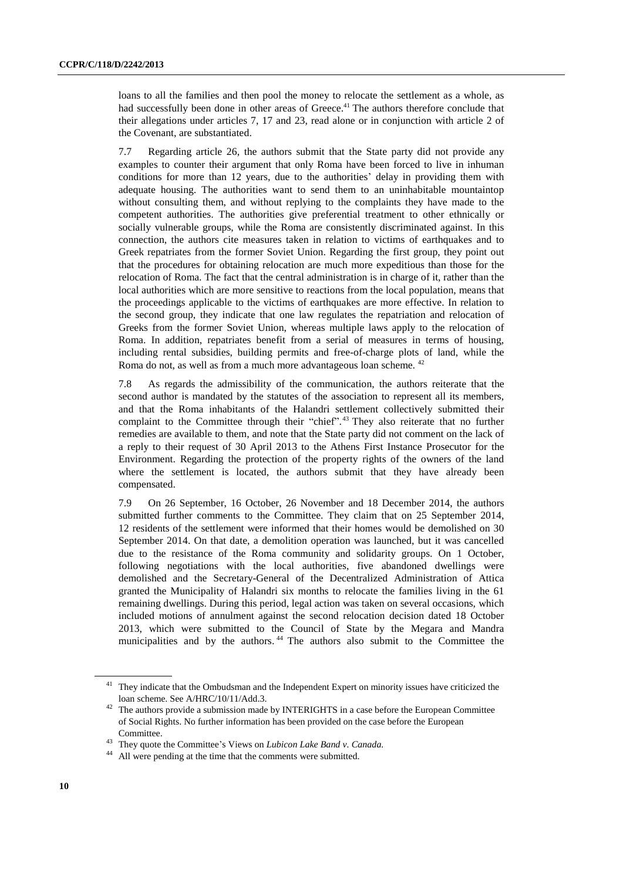loans to all the families and then pool the money to relocate the settlement as a whole, as had successfully been done in other areas of Greece.<sup>41</sup> The authors therefore conclude that their allegations under articles 7, 17 and 23, read alone or in conjunction with article 2 of the Covenant, are substantiated.

7.7 Regarding article 26, the authors submit that the State party did not provide any examples to counter their argument that only Roma have been forced to live in inhuman conditions for more than 12 years, due to the authorities' delay in providing them with adequate housing. The authorities want to send them to an uninhabitable mountaintop without consulting them, and without replying to the complaints they have made to the competent authorities. The authorities give preferential treatment to other ethnically or socially vulnerable groups, while the Roma are consistently discriminated against. In this connection, the authors cite measures taken in relation to victims of earthquakes and to Greek repatriates from the former Soviet Union. Regarding the first group, they point out that the procedures for obtaining relocation are much more expeditious than those for the relocation of Roma. The fact that the central administration is in charge of it, rather than the local authorities which are more sensitive to reactions from the local population, means that the proceedings applicable to the victims of earthquakes are more effective. In relation to the second group, they indicate that one law regulates the repatriation and relocation of Greeks from the former Soviet Union, whereas multiple laws apply to the relocation of Roma. In addition, repatriates benefit from a serial of measures in terms of housing, including rental subsidies, building permits and free-of-charge plots of land, while the Roma do not, as well as from a much more advantageous loan scheme. <sup>42</sup>

7.8 As regards the admissibility of the communication, the authors reiterate that the second author is mandated by the statutes of the association to represent all its members, and that the Roma inhabitants of the Halandri settlement collectively submitted their complaint to the Committee through their "chief".<sup>43</sup> They also reiterate that no further remedies are available to them, and note that the State party did not comment on the lack of a reply to their request of 30 April 2013 to the Athens First Instance Prosecutor for the Environment. Regarding the protection of the property rights of the owners of the land where the settlement is located, the authors submit that they have already been compensated.

7.9 On 26 September, 16 October, 26 November and 18 December 2014, the authors submitted further comments to the Committee. They claim that on 25 September 2014, 12 residents of the settlement were informed that their homes would be demolished on 30 September 2014. On that date, a demolition operation was launched, but it was cancelled due to the resistance of the Roma community and solidarity groups. On 1 October, following negotiations with the local authorities, five abandoned dwellings were demolished and the Secretary-General of the Decentralized Administration of Attica granted the Municipality of Halandri six months to relocate the families living in the 61 remaining dwellings. During this period, legal action was taken on several occasions, which included motions of annulment against the second relocation decision dated 18 October 2013, which were submitted to the Council of State by the Megara and Mandra municipalities and by the authors. <sup>44</sup> The authors also submit to the Committee the

<sup>&</sup>lt;sup>41</sup> They indicate that the Ombudsman and the Independent Expert on minority issues have criticized the loan scheme. See A/HRC/10/11/Add.3.

 $42$  The authors provide a submission made by INTERIGHTS in a case before the European Committee of Social Rights. No further information has been provided on the case before the European Committee.

<sup>43</sup> They quote the Committee's Views on *Lubicon Lake Band v. Canada.*

All were pending at the time that the comments were submitted.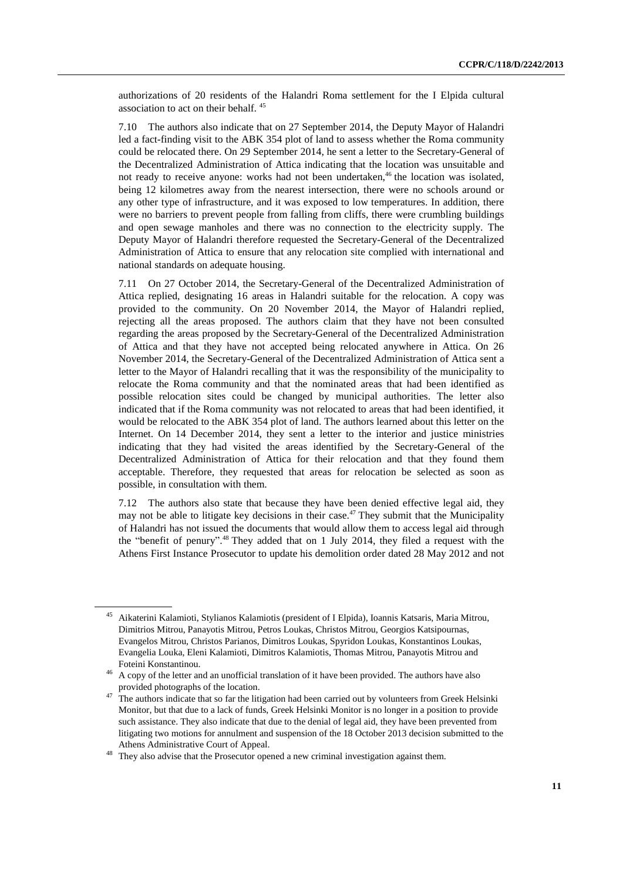authorizations of 20 residents of the Halandri Roma settlement for the I Elpida cultural association to act on their behalf. <sup>45</sup>

7.10 The authors also indicate that on 27 September 2014, the Deputy Mayor of Halandri led a fact-finding visit to the ABK 354 plot of land to assess whether the Roma community could be relocated there. On 29 September 2014, he sent a letter to the Secretary-General of the Decentralized Administration of Attica indicating that the location was unsuitable and not ready to receive anyone: works had not been undertaken,<sup>46</sup> the location was isolated, being 12 kilometres away from the nearest intersection, there were no schools around or any other type of infrastructure, and it was exposed to low temperatures. In addition, there were no barriers to prevent people from falling from cliffs, there were crumbling buildings and open sewage manholes and there was no connection to the electricity supply. The Deputy Mayor of Halandri therefore requested the Secretary-General of the Decentralized Administration of Attica to ensure that any relocation site complied with international and national standards on adequate housing.

7.11 On 27 October 2014, the Secretary-General of the Decentralized Administration of Attica replied, designating 16 areas in Halandri suitable for the relocation. A copy was provided to the community. On 20 November 2014, the Mayor of Halandri replied, rejecting all the areas proposed. The authors claim that they have not been consulted regarding the areas proposed by the Secretary-General of the Decentralized Administration of Attica and that they have not accepted being relocated anywhere in Attica. On 26 November 2014, the Secretary-General of the Decentralized Administration of Attica sent a letter to the Mayor of Halandri recalling that it was the responsibility of the municipality to relocate the Roma community and that the nominated areas that had been identified as possible relocation sites could be changed by municipal authorities. The letter also indicated that if the Roma community was not relocated to areas that had been identified, it would be relocated to the ABK 354 plot of land. The authors learned about this letter on the Internet. On 14 December 2014, they sent a letter to the interior and justice ministries indicating that they had visited the areas identified by the Secretary-General of the Decentralized Administration of Attica for their relocation and that they found them acceptable. Therefore, they requested that areas for relocation be selected as soon as possible, in consultation with them.

7.12 The authors also state that because they have been denied effective legal aid, they may not be able to litigate key decisions in their case.<sup>47</sup> They submit that the Municipality of Halandri has not issued the documents that would allow them to access legal aid through the "benefit of penury".<sup>48</sup> They added that on 1 July 2014, they filed a request with the Athens First Instance Prosecutor to update his demolition order dated 28 May 2012 and not

<sup>&</sup>lt;sup>45</sup> Aikaterini Kalamioti, Stylianos Kalamiotis (president of I Elpida), Ioannis Katsaris, Maria Mitrou, Dimitrios Mitrou, Panayotis Mitrou, Petros Loukas, Christos Mitrou, Georgios Katsipournas, Evangelos Mitrou, Christos Parianos, Dimitros Loukas, Spyridon Loukas, Konstantinos Loukas, Evangelia Louka, Eleni Kalamioti, Dimitros Kalamiotis, Thomas Mitrou, Panayotis Mitrou and Foteini Konstantinou.

<sup>&</sup>lt;sup>46</sup> A copy of the letter and an unofficial translation of it have been provided. The authors have also provided photographs of the location.

<sup>&</sup>lt;sup>47</sup> The authors indicate that so far the litigation had been carried out by volunteers from Greek Helsinki Monitor, but that due to a lack of funds, Greek Helsinki Monitor is no longer in a position to provide such assistance. They also indicate that due to the denial of legal aid, they have been prevented from litigating two motions for annulment and suspension of the 18 October 2013 decision submitted to the Athens Administrative Court of Appeal.

They also advise that the Prosecutor opened a new criminal investigation against them.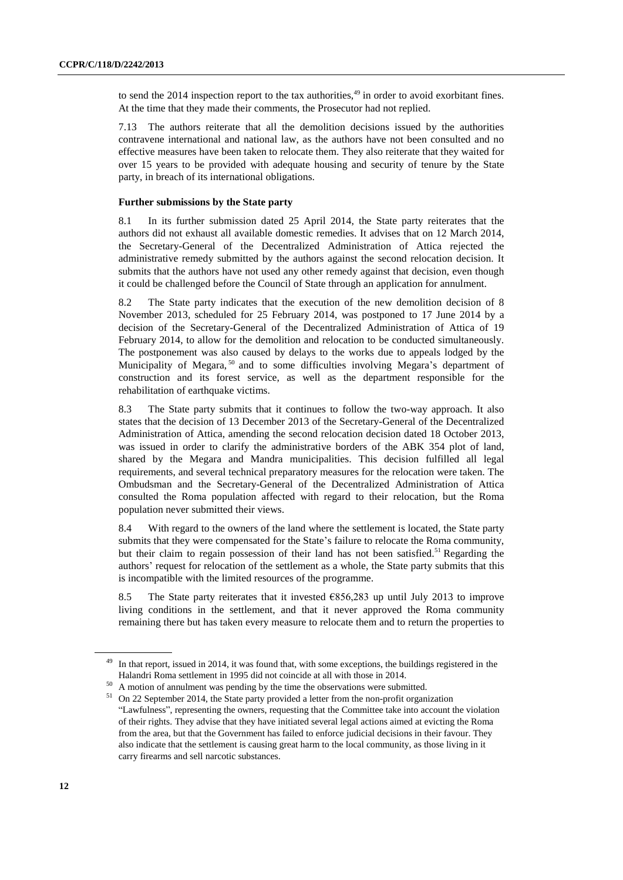to send the 2014 inspection report to the tax authorities, $49$  in order to avoid exorbitant fines. At the time that they made their comments, the Prosecutor had not replied.

7.13 The authors reiterate that all the demolition decisions issued by the authorities contravene international and national law, as the authors have not been consulted and no effective measures have been taken to relocate them. They also reiterate that they waited for over 15 years to be provided with adequate housing and security of tenure by the State party, in breach of its international obligations.

## **Further submissions by the State party**

8.1 In its further submission dated 25 April 2014, the State party reiterates that the authors did not exhaust all available domestic remedies. It advises that on 12 March 2014, the Secretary-General of the Decentralized Administration of Attica rejected the administrative remedy submitted by the authors against the second relocation decision. It submits that the authors have not used any other remedy against that decision, even though it could be challenged before the Council of State through an application for annulment.

8.2 The State party indicates that the execution of the new demolition decision of 8 November 2013, scheduled for 25 February 2014, was postponed to 17 June 2014 by a decision of the Secretary-General of the Decentralized Administration of Attica of 19 February 2014, to allow for the demolition and relocation to be conducted simultaneously. The postponement was also caused by delays to the works due to appeals lodged by the Municipality of Megara,<sup>50</sup> and to some difficulties involving Megara's department of construction and its forest service, as well as the department responsible for the rehabilitation of earthquake victims.

8.3 The State party submits that it continues to follow the two-way approach. It also states that the decision of 13 December 2013 of the Secretary-General of the Decentralized Administration of Attica, amending the second relocation decision dated 18 October 2013, was issued in order to clarify the administrative borders of the ABK 354 plot of land, shared by the Megara and Mandra municipalities. This decision fulfilled all legal requirements, and several technical preparatory measures for the relocation were taken. The Ombudsman and the Secretary-General of the Decentralized Administration of Attica consulted the Roma population affected with regard to their relocation, but the Roma population never submitted their views.

8.4 With regard to the owners of the land where the settlement is located, the State party submits that they were compensated for the State's failure to relocate the Roma community, but their claim to regain possession of their land has not been satisfied.<sup>51</sup> Regarding the authors' request for relocation of the settlement as a whole, the State party submits that this is incompatible with the limited resources of the programme.

8.5 The State party reiterates that it invested  $\epsilon$ 856,283 up until July 2013 to improve living conditions in the settlement, and that it never approved the Roma community remaining there but has taken every measure to relocate them and to return the properties to

In that report, issued in 2014, it was found that, with some exceptions, the buildings registered in the Halandri Roma settlement in 1995 did not coincide at all with those in 2014.

A motion of annulment was pending by the time the observations were submitted.

<sup>51</sup> On 22 September 2014, the State party provided a letter from the non-profit organization "Lawfulness", representing the owners, requesting that the Committee take into account the violation of their rights. They advise that they have initiated several legal actions aimed at evicting the Roma from the area, but that the Government has failed to enforce judicial decisions in their favour. They also indicate that the settlement is causing great harm to the local community, as those living in it carry firearms and sell narcotic substances.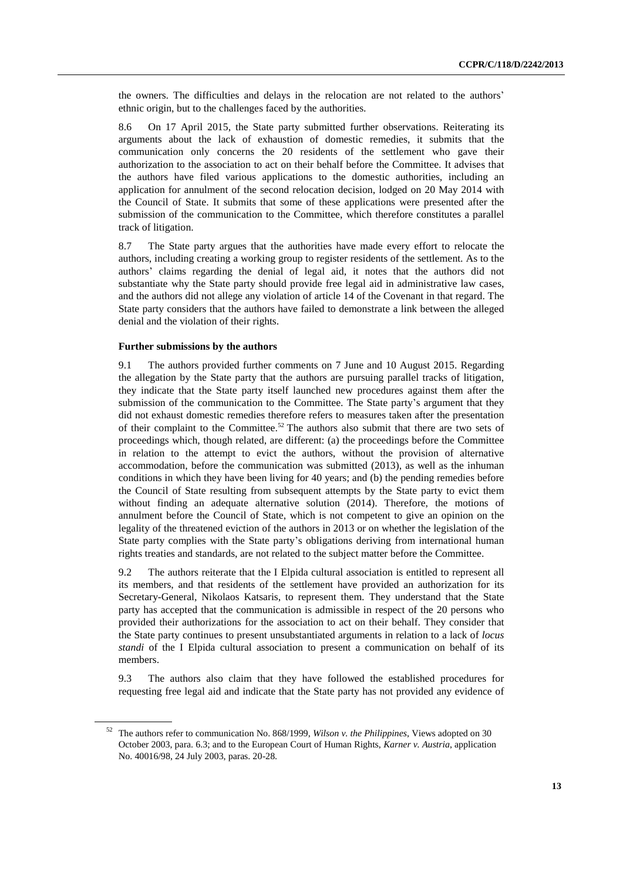the owners. The difficulties and delays in the relocation are not related to the authors' ethnic origin, but to the challenges faced by the authorities.

8.6 On 17 April 2015, the State party submitted further observations. Reiterating its arguments about the lack of exhaustion of domestic remedies, it submits that the communication only concerns the 20 residents of the settlement who gave their authorization to the association to act on their behalf before the Committee. It advises that the authors have filed various applications to the domestic authorities, including an application for annulment of the second relocation decision, lodged on 20 May 2014 with the Council of State. It submits that some of these applications were presented after the submission of the communication to the Committee, which therefore constitutes a parallel track of litigation.

8.7 The State party argues that the authorities have made every effort to relocate the authors, including creating a working group to register residents of the settlement. As to the authors' claims regarding the denial of legal aid, it notes that the authors did not substantiate why the State party should provide free legal aid in administrative law cases, and the authors did not allege any violation of article 14 of the Covenant in that regard. The State party considers that the authors have failed to demonstrate a link between the alleged denial and the violation of their rights.

## **Further submissions by the authors**

9.1 The authors provided further comments on 7 June and 10 August 2015. Regarding the allegation by the State party that the authors are pursuing parallel tracks of litigation, they indicate that the State party itself launched new procedures against them after the submission of the communication to the Committee. The State party's argument that they did not exhaust domestic remedies therefore refers to measures taken after the presentation of their complaint to the Committee.<sup>52</sup> The authors also submit that there are two sets of proceedings which, though related, are different: (a) the proceedings before the Committee in relation to the attempt to evict the authors, without the provision of alternative accommodation, before the communication was submitted (2013), as well as the inhuman conditions in which they have been living for 40 years; and (b) the pending remedies before the Council of State resulting from subsequent attempts by the State party to evict them without finding an adequate alternative solution (2014). Therefore, the motions of annulment before the Council of State, which is not competent to give an opinion on the legality of the threatened eviction of the authors in 2013 or on whether the legislation of the State party complies with the State party's obligations deriving from international human rights treaties and standards, are not related to the subject matter before the Committee.

9.2 The authors reiterate that the I Elpida cultural association is entitled to represent all its members, and that residents of the settlement have provided an authorization for its Secretary-General, Nikolaos Katsaris, to represent them. They understand that the State party has accepted that the communication is admissible in respect of the 20 persons who provided their authorizations for the association to act on their behalf. They consider that the State party continues to present unsubstantiated arguments in relation to a lack of *locus standi* of the I Elpida cultural association to present a communication on behalf of its members.

9.3 The authors also claim that they have followed the established procedures for requesting free legal aid and indicate that the State party has not provided any evidence of

<sup>52</sup> The authors refer to communication No. 868/1999, *Wilson v. the Philippines*, Views adopted on 30 October 2003, para. 6.3; and to the European Court of Human Rights, *Karner v. Austria*, application No. 40016/98, 24 July 2003, paras. 20-28.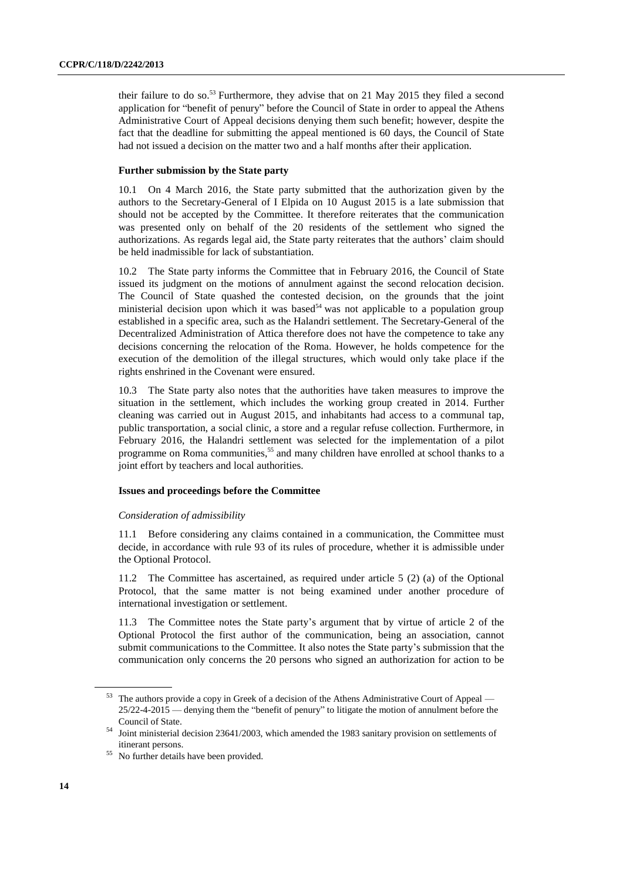their failure to do so.<sup>53</sup> Furthermore, they advise that on 21 May 2015 they filed a second application for "benefit of penury" before the Council of State in order to appeal the Athens Administrative Court of Appeal decisions denying them such benefit; however, despite the fact that the deadline for submitting the appeal mentioned is 60 days, the Council of State had not issued a decision on the matter two and a half months after their application.

## **Further submission by the State party**

10.1 On 4 March 2016, the State party submitted that the authorization given by the authors to the Secretary-General of I Elpida on 10 August 2015 is a late submission that should not be accepted by the Committee. It therefore reiterates that the communication was presented only on behalf of the 20 residents of the settlement who signed the authorizations. As regards legal aid, the State party reiterates that the authors' claim should be held inadmissible for lack of substantiation.

10.2 The State party informs the Committee that in February 2016, the Council of State issued its judgment on the motions of annulment against the second relocation decision. The Council of State quashed the contested decision, on the grounds that the joint ministerial decision upon which it was based<sup>54</sup> was not applicable to a population group established in a specific area, such as the Halandri settlement. The Secretary-General of the Decentralized Administration of Attica therefore does not have the competence to take any decisions concerning the relocation of the Roma. However, he holds competence for the execution of the demolition of the illegal structures, which would only take place if the rights enshrined in the Covenant were ensured.

10.3 The State party also notes that the authorities have taken measures to improve the situation in the settlement, which includes the working group created in 2014. Further cleaning was carried out in August 2015, and inhabitants had access to a communal tap, public transportation, a social clinic, a store and a regular refuse collection. Furthermore, in February 2016, the Halandri settlement was selected for the implementation of a pilot programme on Roma communities,<sup>55</sup> and many children have enrolled at school thanks to a joint effort by teachers and local authorities.

## **Issues and proceedings before the Committee**

#### *Consideration of admissibility*

11.1 Before considering any claims contained in a communication, the Committee must decide, in accordance with rule 93 of its rules of procedure, whether it is admissible under the Optional Protocol.

11.2 The Committee has ascertained, as required under article 5 (2) (a) of the Optional Protocol, that the same matter is not being examined under another procedure of international investigation or settlement.

11.3 The Committee notes the State party's argument that by virtue of article 2 of the Optional Protocol the first author of the communication, being an association, cannot submit communications to the Committee. It also notes the State party's submission that the communication only concerns the 20 persons who signed an authorization for action to be

<sup>53</sup> The authors provide a copy in Greek of a decision of the Athens Administrative Court of Appeal — 25/22-4-2015 — denying them the "benefit of penury" to litigate the motion of annulment before the Council of State.

<sup>&</sup>lt;sup>54</sup> Joint ministerial decision 23641/2003, which amended the 1983 sanitary provision on settlements of itinerant persons.

<sup>55</sup> No further details have been provided.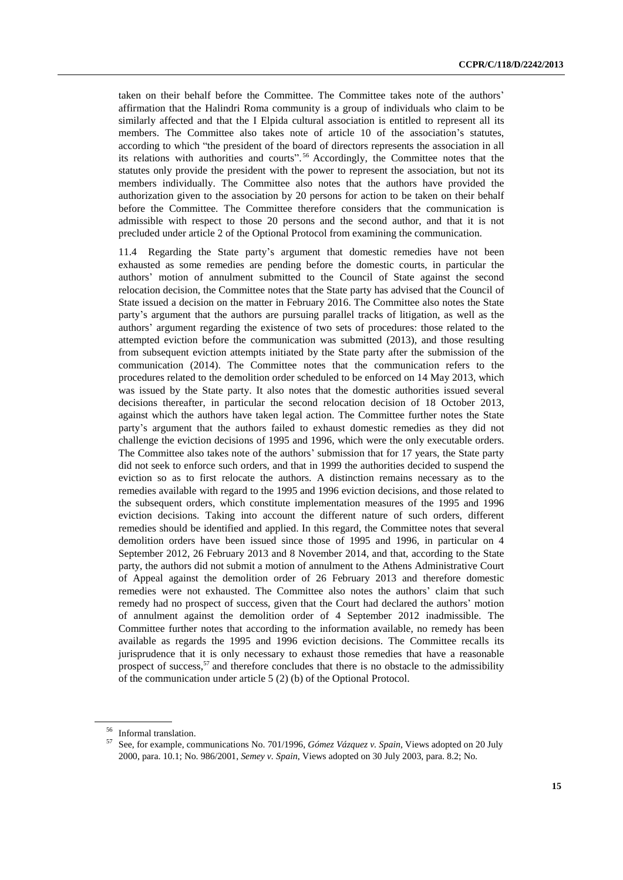taken on their behalf before the Committee. The Committee takes note of the authors' affirmation that the Halindri Roma community is a group of individuals who claim to be similarly affected and that the I Elpida cultural association is entitled to represent all its members. The Committee also takes note of article 10 of the association's statutes, according to which "the president of the board of directors represents the association in all its relations with authorities and courts". <sup>56</sup> Accordingly, the Committee notes that the statutes only provide the president with the power to represent the association, but not its members individually. The Committee also notes that the authors have provided the authorization given to the association by 20 persons for action to be taken on their behalf before the Committee. The Committee therefore considers that the communication is admissible with respect to those 20 persons and the second author, and that it is not precluded under article 2 of the Optional Protocol from examining the communication.

11.4 Regarding the State party's argument that domestic remedies have not been exhausted as some remedies are pending before the domestic courts, in particular the authors' motion of annulment submitted to the Council of State against the second relocation decision, the Committee notes that the State party has advised that the Council of State issued a decision on the matter in February 2016. The Committee also notes the State party's argument that the authors are pursuing parallel tracks of litigation, as well as the authors' argument regarding the existence of two sets of procedures: those related to the attempted eviction before the communication was submitted (2013), and those resulting from subsequent eviction attempts initiated by the State party after the submission of the communication (2014). The Committee notes that the communication refers to the procedures related to the demolition order scheduled to be enforced on 14 May 2013, which was issued by the State party. It also notes that the domestic authorities issued several decisions thereafter, in particular the second relocation decision of 18 October 2013, against which the authors have taken legal action. The Committee further notes the State party's argument that the authors failed to exhaust domestic remedies as they did not challenge the eviction decisions of 1995 and 1996, which were the only executable orders. The Committee also takes note of the authors' submission that for 17 years, the State party did not seek to enforce such orders, and that in 1999 the authorities decided to suspend the eviction so as to first relocate the authors. A distinction remains necessary as to the remedies available with regard to the 1995 and 1996 eviction decisions, and those related to the subsequent orders, which constitute implementation measures of the 1995 and 1996 eviction decisions. Taking into account the different nature of such orders, different remedies should be identified and applied. In this regard, the Committee notes that several demolition orders have been issued since those of 1995 and 1996, in particular on 4 September 2012, 26 February 2013 and 8 November 2014, and that, according to the State party, the authors did not submit a motion of annulment to the Athens Administrative Court of Appeal against the demolition order of 26 February 2013 and therefore domestic remedies were not exhausted. The Committee also notes the authors' claim that such remedy had no prospect of success, given that the Court had declared the authors' motion of annulment against the demolition order of 4 September 2012 inadmissible. The Committee further notes that according to the information available, no remedy has been available as regards the 1995 and 1996 eviction decisions. The Committee recalls its jurisprudence that it is only necessary to exhaust those remedies that have a reasonable prospect of success,<sup>57</sup> and therefore concludes that there is no obstacle to the admissibility of the communication under article 5 (2) (b) of the Optional Protocol.

<sup>56</sup> Informal translation.

<sup>57</sup> See, for example, communications No. 701/1996, *Gómez Vázquez v. Spain*, Views adopted on 20 July 2000, para. 10.1; No. 986/2001, *Semey v. Spain*, Views adopted on 30 July 2003, para. 8.2; No.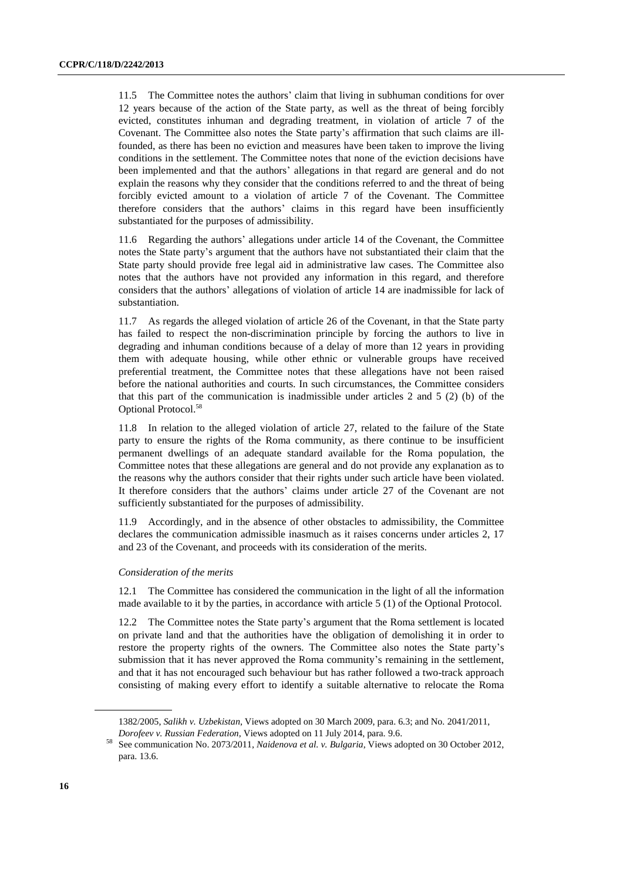11.5 The Committee notes the authors' claim that living in subhuman conditions for over 12 years because of the action of the State party, as well as the threat of being forcibly evicted, constitutes inhuman and degrading treatment, in violation of article 7 of the Covenant. The Committee also notes the State party's affirmation that such claims are illfounded, as there has been no eviction and measures have been taken to improve the living conditions in the settlement. The Committee notes that none of the eviction decisions have been implemented and that the authors' allegations in that regard are general and do not explain the reasons why they consider that the conditions referred to and the threat of being forcibly evicted amount to a violation of article 7 of the Covenant. The Committee therefore considers that the authors' claims in this regard have been insufficiently substantiated for the purposes of admissibility.

11.6 Regarding the authors' allegations under article 14 of the Covenant, the Committee notes the State party's argument that the authors have not substantiated their claim that the State party should provide free legal aid in administrative law cases. The Committee also notes that the authors have not provided any information in this regard, and therefore considers that the authors' allegations of violation of article 14 are inadmissible for lack of substantiation.

11.7 As regards the alleged violation of article 26 of the Covenant, in that the State party has failed to respect the non-discrimination principle by forcing the authors to live in degrading and inhuman conditions because of a delay of more than 12 years in providing them with adequate housing, while other ethnic or vulnerable groups have received preferential treatment, the Committee notes that these allegations have not been raised before the national authorities and courts. In such circumstances, the Committee considers that this part of the communication is inadmissible under articles 2 and  $5(2)$  (b) of the Optional Protocol.<sup>58</sup>

11.8 In relation to the alleged violation of article 27, related to the failure of the State party to ensure the rights of the Roma community, as there continue to be insufficient permanent dwellings of an adequate standard available for the Roma population, the Committee notes that these allegations are general and do not provide any explanation as to the reasons why the authors consider that their rights under such article have been violated. It therefore considers that the authors' claims under article 27 of the Covenant are not sufficiently substantiated for the purposes of admissibility.

11.9 Accordingly, and in the absence of other obstacles to admissibility, the Committee declares the communication admissible inasmuch as it raises concerns under articles 2, 17 and 23 of the Covenant, and proceeds with its consideration of the merits.

## *Consideration of the merits*

12.1 The Committee has considered the communication in the light of all the information made available to it by the parties, in accordance with article 5 (1) of the Optional Protocol.

12.2 The Committee notes the State party's argument that the Roma settlement is located on private land and that the authorities have the obligation of demolishing it in order to restore the property rights of the owners. The Committee also notes the State party's submission that it has never approved the Roma community's remaining in the settlement, and that it has not encouraged such behaviour but has rather followed a two-track approach consisting of making every effort to identify a suitable alternative to relocate the Roma

<sup>1382/2005,</sup> *Salikh v. Uzbekistan*, Views adopted on 30 March 2009, para. 6.3; and No. 2041/2011,

*Dorofeev v. Russian Federation*, Views adopted on 11 July 2014, para. 9.6.

<sup>58</sup> See communication No. 2073/2011, *Naidenova et al. v. Bulgaria*, Views adopted on 30 October 2012, para. 13.6.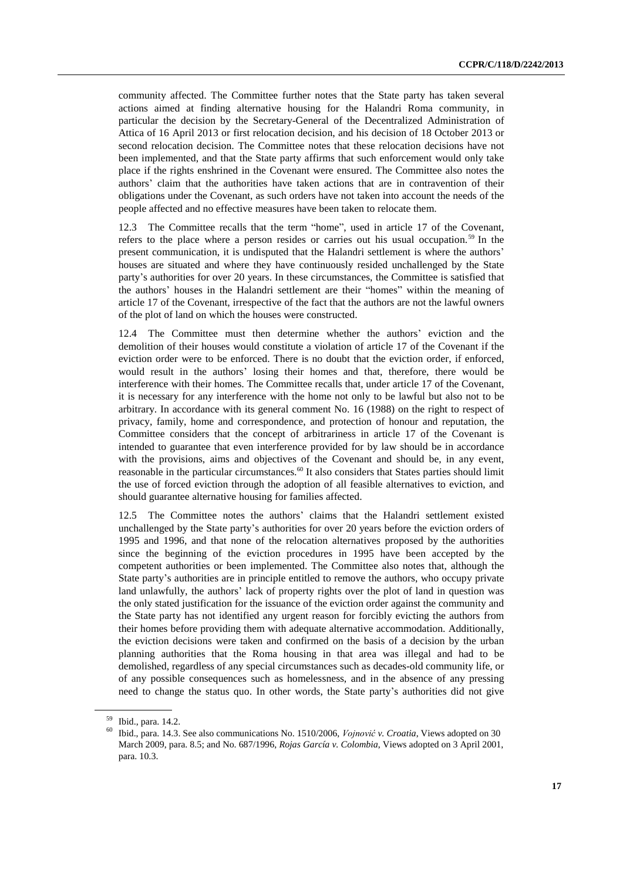community affected. The Committee further notes that the State party has taken several actions aimed at finding alternative housing for the Halandri Roma community, in particular the decision by the Secretary-General of the Decentralized Administration of Attica of 16 April 2013 or first relocation decision, and his decision of 18 October 2013 or second relocation decision. The Committee notes that these relocation decisions have not been implemented, and that the State party affirms that such enforcement would only take place if the rights enshrined in the Covenant were ensured. The Committee also notes the authors' claim that the authorities have taken actions that are in contravention of their obligations under the Covenant, as such orders have not taken into account the needs of the people affected and no effective measures have been taken to relocate them.

12.3 The Committee recalls that the term "home", used in article 17 of the Covenant, refers to the place where a person resides or carries out his usual occupation.<sup>59</sup> In the present communication, it is undisputed that the Halandri settlement is where the authors' houses are situated and where they have continuously resided unchallenged by the State party's authorities for over 20 years. In these circumstances, the Committee is satisfied that the authors' houses in the Halandri settlement are their "homes" within the meaning of article 17 of the Covenant, irrespective of the fact that the authors are not the lawful owners of the plot of land on which the houses were constructed.

12.4 The Committee must then determine whether the authors' eviction and the demolition of their houses would constitute a violation of article 17 of the Covenant if the eviction order were to be enforced. There is no doubt that the eviction order, if enforced, would result in the authors' losing their homes and that, therefore, there would be interference with their homes. The Committee recalls that, under article 17 of the Covenant, it is necessary for any interference with the home not only to be lawful but also not to be arbitrary. In accordance with its general comment No. 16 (1988) on the right to respect of privacy, family, home and correspondence, and protection of honour and reputation, the Committee considers that the concept of arbitrariness in article 17 of the Covenant is intended to guarantee that even interference provided for by law should be in accordance with the provisions, aims and objectives of the Covenant and should be, in any event, reasonable in the particular circumstances.<sup>60</sup> It also considers that States parties should limit the use of forced eviction through the adoption of all feasible alternatives to eviction, and should guarantee alternative housing for families affected.

12.5 The Committee notes the authors' claims that the Halandri settlement existed unchallenged by the State party's authorities for over 20 years before the eviction orders of 1995 and 1996, and that none of the relocation alternatives proposed by the authorities since the beginning of the eviction procedures in 1995 have been accepted by the competent authorities or been implemented. The Committee also notes that, although the State party's authorities are in principle entitled to remove the authors, who occupy private land unlawfully, the authors' lack of property rights over the plot of land in question was the only stated justification for the issuance of the eviction order against the community and the State party has not identified any urgent reason for forcibly evicting the authors from their homes before providing them with adequate alternative accommodation. Additionally, the eviction decisions were taken and confirmed on the basis of a decision by the urban planning authorities that the Roma housing in that area was illegal and had to be demolished, regardless of any special circumstances such as decades-old community life, or of any possible consequences such as homelessness, and in the absence of any pressing need to change the status quo. In other words, the State party's authorities did not give

<sup>59</sup> Ibid., para. 14.2.

<sup>60</sup> Ibid., para. 14.3. See also communications No. 1510/2006, *Vojnović v. Croatia*, Views adopted on 30 March 2009, para. 8.5; and No. 687/1996, *Rojas García v. Colombia*, Views adopted on 3 April 2001, para. 10.3.